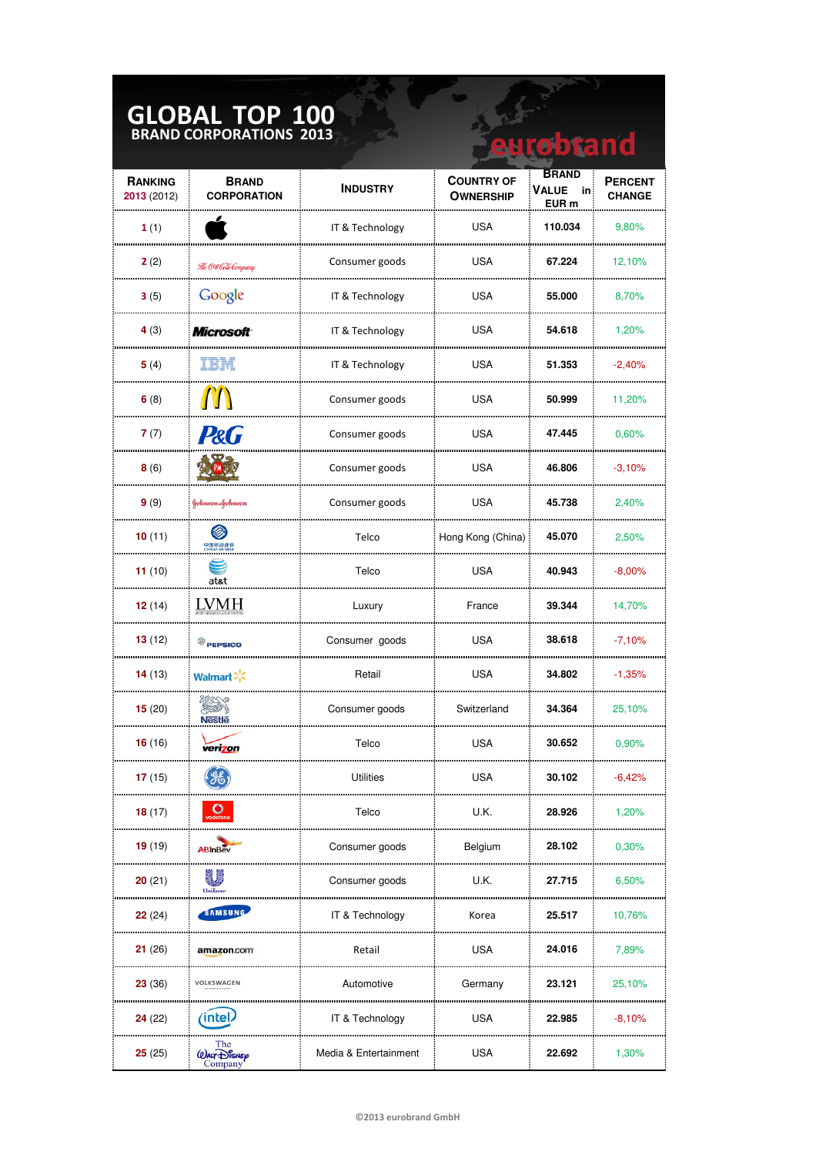## **GLOBAL TOP 100 BRAND CORPORATIONS 2013**

| <b>GLOBAL TOP 100</b><br>BRAND CORPORATIONS 2013<br>robrand |                                    |                       |                                       |                                      |                                 |
|-------------------------------------------------------------|------------------------------------|-----------------------|---------------------------------------|--------------------------------------|---------------------------------|
| <b>RANKING</b><br>2013 (2012)                               | <b>BRAND</b><br><b>CORPORATION</b> | <b>INDUSTRY</b>       | <b>COUNTRY OF</b><br><b>OWNERSHIP</b> | <b>BRAND</b><br>Value<br>in<br>EUR m | <b>PERCENT</b><br><b>CHANGE</b> |
| 1(1)                                                        |                                    | IT & Technology       | <b>USA</b>                            | 110.034                              | 9,80%                           |
| 2(2)                                                        | The Cea Cela Company               | Consumer goods        | <b>USA</b>                            | 67.224                               | 12,10%                          |
| 3(5)                                                        | Google                             | IT & Technology       | <b>USA</b>                            | 55.000                               | 8,70%                           |
| 4 $(3)$                                                     | <b>Microsoft</b>                   | IT & Technology       | <b>USA</b>                            | 54.618                               | 1,20%                           |
| 5(4)                                                        | IBM                                | IT & Technology       | <b>USA</b>                            | 51.353                               | $-2,40%$                        |
| 6(8)                                                        |                                    | Consumer goods        | <b>USA</b>                            | 50.999                               | 11,20%                          |
| 7(7)                                                        | P&G                                | Consumer goods        | <b>USA</b>                            | 47.445                               | 0,60%                           |
| 8(6)                                                        |                                    | Consumer goods        | <b>USA</b>                            | 46.806                               | $-3,10%$                        |
| 9(9)                                                        | Johnnon-Johnnon                    | Consumer goods        | USA                                   | 45.738                               | 2,40%                           |
| 10(11)                                                      | Ø<br>中国移动通信<br>CHINA MOBILE        | Telco                 | Hong Kong (China)                     | 45.070                               | 2,50%                           |
| 11 $(10)$                                                   | at&t                               | Telco                 | <b>USA</b>                            | 40.943                               | $-8,00\%$                       |
| 12(14)                                                      | <b>LVMH</b>                        | Luxury                | France                                | 39.344                               | 14,70%                          |
| 13(12)                                                      | <b>PEPSICO</b>                     | Consumer goods        | <b>USA</b>                            | 38.618                               | $-7,10%$                        |
| 14(13)                                                      | Walmart <sup>2</sup>               | Retail                | <b>USA</b>                            | 34.802                               | $-1,35%$                        |
| 15(20)                                                      |                                    | Consumer goods        | Switzerland                           | 34.364                               | 25,10%                          |
| 16 (16)                                                     | verizon                            | Telco                 | USA                                   | 30.652                               | $0,90\%$                        |
| 17(15)                                                      | 狁                                  | Utilities             | <b>USA</b>                            | 30.102                               | $-6.42%$                        |
| 18(17)                                                      | <b>O</b>                           | Telco                 | U.K.                                  | 28.926                               | 1,20%                           |
| 19(19)                                                      | ABInBev                            | Consumer goods        | Belgium                               | 28.102                               | 0,30%                           |
| 20(21)                                                      |                                    | Consumer goods        | U.K.                                  | 27.715                               | 6,50%                           |
| 22(24)                                                      | SAMSUNG                            | IT & Technology       | Korea                                 | 25.517                               | 10,76%                          |
| 21(26)                                                      | amazon.com                         | Retail                | <b>USA</b>                            | 24.016                               | 7,89%                           |
| 23(36)                                                      | VOLKSWAGEN                         | Automotive            | Germany                               | 23.121                               | 25,10%                          |
| 24(22)                                                      | intel                              | IT & Technology       | USA                                   | 22.985                               | $-8,10%$                        |
| 25(25)                                                      | The<br>(DALT DISNEY<br>ompan       | Media & Entertainment | <b>USA</b>                            | 22.692                               | 1,30%                           |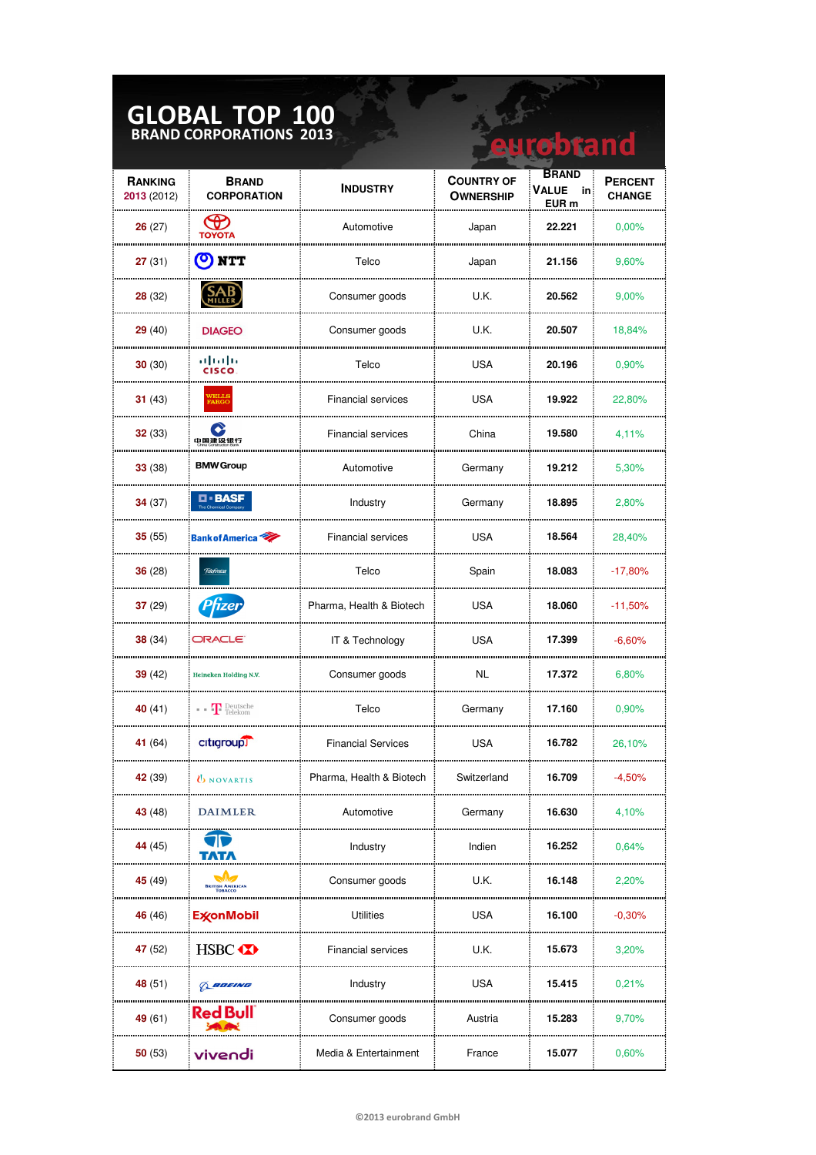| <b>GLOBAL TOP 100</b><br><b>BRAND CORPORATIONS 2013</b><br>robtand |                                                                                                                                        |                           |                                       |                                                 |                                 |
|--------------------------------------------------------------------|----------------------------------------------------------------------------------------------------------------------------------------|---------------------------|---------------------------------------|-------------------------------------------------|---------------------------------|
| <b>RANKING</b><br>2013 (2012)                                      | <b>BRAND</b><br><b>CORPORATION</b>                                                                                                     | <b>INDUSTRY</b>           | <b>COUNTRY OF</b><br><b>OWNERSHIP</b> | <b>BRAND</b><br>Value<br>in<br>EUR <sub>m</sub> | <b>PERCENT</b><br><b>CHANGE</b> |
| 26(27)                                                             | <b>CD</b>                                                                                                                              | Automotive                | Japan                                 | 22.221                                          | 0,00%                           |
| 27(31)                                                             | (O) NTT                                                                                                                                | Telco                     | Japan                                 | 21.156                                          | 9,60%                           |
| 28(32)                                                             |                                                                                                                                        | Consumer goods            | U.K.                                  | 20.562                                          | 9,00%                           |
| 29(40)                                                             | <b>DIAGEO</b>                                                                                                                          | Consumer goods            | U.K.                                  | 20.507                                          | 18,84%                          |
| 30(30)                                                             | بالمالة<br><b>CISCO</b>                                                                                                                | Telco                     | <b>USA</b>                            | 20.196                                          | 0,90%                           |
| 31(43)                                                             | <b>VELLS<br/>FARGO</b>                                                                                                                 | <b>Financial services</b> | USA                                   | 19.922                                          | 22,80%                          |
| 32(33)                                                             | ◆<br>中国建设银行                                                                                                                            | <b>Financial services</b> | China                                 | 19.580                                          | 4,11%                           |
| 33(38)                                                             | <b>BMW Group</b>                                                                                                                       | Automotive                | Germany                               | 19.212                                          | 5,30%                           |
| 34(37)                                                             | <b>D-BASF</b>                                                                                                                          | Industry                  | Germany                               | 18.895                                          | 2,80%                           |
| 35(55)                                                             | <b>Bank of America</b>                                                                                                                 | <b>Financial services</b> | USA                                   | 18.564                                          | 28,40%                          |
| 36(28)                                                             | Telefònica                                                                                                                             | Telco                     | Spain                                 | 18.083                                          | $-17,80%$                       |
| 37(29)                                                             | Prizer                                                                                                                                 | Pharma, Health & Biotech  | USA                                   | 18.060                                          | $-11,50%$                       |
| 38(34)                                                             | ORACLE <sup>®</sup>                                                                                                                    | IT & Technology           | USA                                   | 17.399                                          | $-6,60%$                        |
| 39(42)                                                             | Heineken Holding N.V.                                                                                                                  | Consumer goods            | NL.                                   | 17.372                                          | 6,80%                           |
| 40(41)                                                             | $\blacksquare$ $\blacksquare$ $\blacksquare$ $\blacksquare$ $\blacksquare$ $\blacksquare$ $\blacksquare$ $\blacksquare$ $\blacksquare$ | Telco                     | Germany                               | 17.160                                          | 0,90%                           |
| 41 (64)                                                            | citigroup                                                                                                                              | <b>Financial Services</b> | USA                                   | 16.782                                          | 26,10%                          |
| <b>42</b> (39)                                                     | <b>UNOVARTIS</b>                                                                                                                       | Pharma, Health & Biotech  | Switzerland                           | 16.709                                          | -4.50%                          |
| 43 (48)                                                            | DAIMLER                                                                                                                                | Automotive                | Germany                               | 16.630                                          | 4,10%                           |
| 44 (45)                                                            |                                                                                                                                        | Industry                  | Indien                                | 16.252                                          | 0,64%                           |
| 45 (49)                                                            | <b>BRITISH AMERICAN</b>                                                                                                                | Consumer goods            | U.K.                                  | 16.148                                          | 2,20%                           |
| 46 (46)                                                            | <b>ExconMobil</b>                                                                                                                      | Utilities                 | <b>USA</b>                            | 16.100                                          | $-0,30%$                        |
| 47(52)                                                             | HSBC <b>XX</b>                                                                                                                         | <b>Financial services</b> | U.K.                                  | 15.673                                          | 3,20%                           |
| 48 (51)                                                            | BOEING                                                                                                                                 | Industry                  | <b>USA</b>                            | 15.415                                          | 0.21%                           |
| 49 (61)                                                            | Red Bull                                                                                                                               | Consumer goods            | Austria                               | 15.283                                          | 9,70%                           |
| 50(53)                                                             | vivendi                                                                                                                                | Media & Entertainment     | France                                | 15.077                                          | 0,60%                           |

**The Company**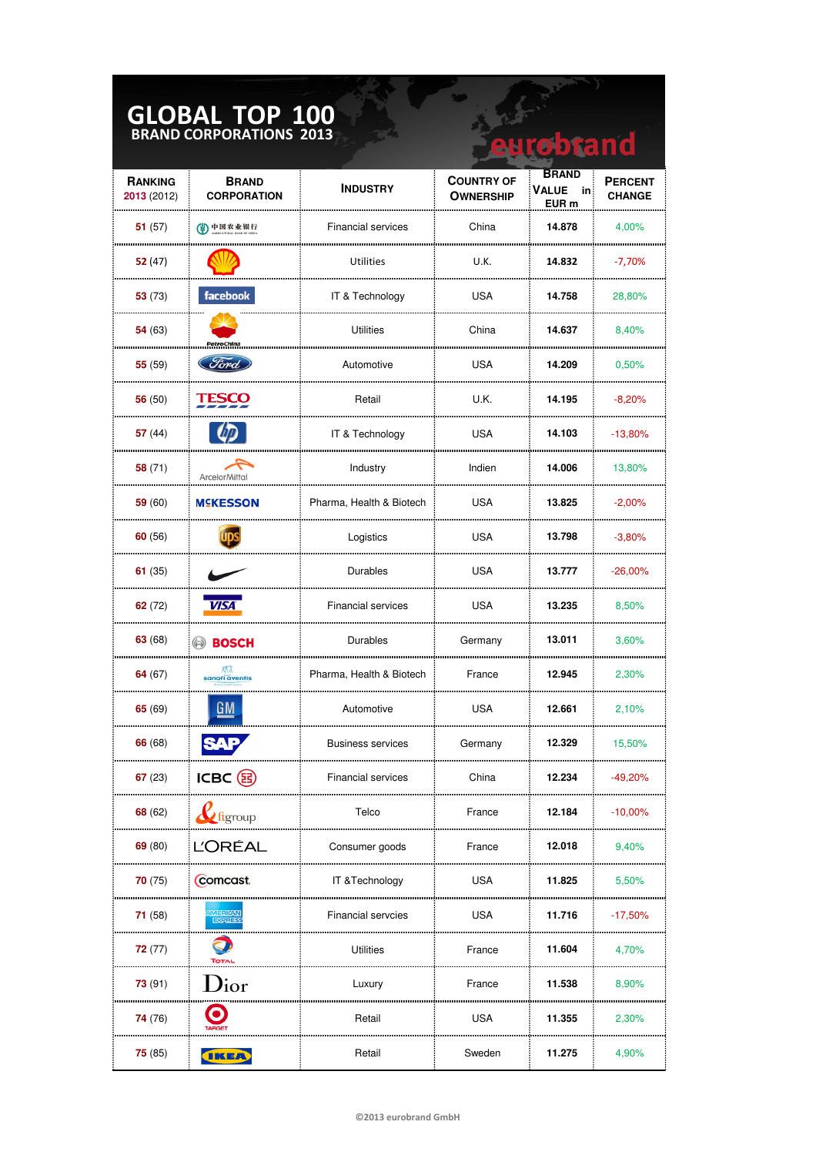## **GLOBAL TOP 100 BRAND CORPORATIONS 2013**

| <b>GLOBAL TOP 100</b><br><b>BRAND CORPORATIONS 2013</b><br><b>eurobrand</b> |                                    |                           |                                       |                                      |                                 |
|-----------------------------------------------------------------------------|------------------------------------|---------------------------|---------------------------------------|--------------------------------------|---------------------------------|
| <b>RANKING</b><br>2013 (2012)                                               | <b>BRAND</b><br><b>CORPORATION</b> | <b>INDUSTRY</b>           | <b>COUNTRY OF</b><br><b>OWNERSHIP</b> | <b>BRAND</b><br>VALUE<br>in<br>EUR m | <b>PERCENT</b><br><b>CHANGE</b> |
| 51(57)                                                                      | (4)中国农业银行                          | <b>Financial services</b> | China                                 | 14.878                               | 4,00%                           |
| 52 (47)                                                                     |                                    | Utilities                 | U.K.                                  | 14.832                               | $-7,70%$                        |
| 53(73)                                                                      | facebook                           | IT & Technology           | <b>USA</b>                            | 14.758                               | 28,80%                          |
| 54 (63)                                                                     | PetroChina                         | <b>Utilities</b>          | China                                 | 14.637                               | 8,40%                           |
| 55(59)                                                                      | Ford                               | Automotive                | <b>USA</b>                            | 14.209                               | 0,50%                           |
| 56 (50)                                                                     | <b>TESCO</b>                       | Retail                    | U.K.                                  | 14.195                               | $-8,20%$                        |
| 57 (44)                                                                     |                                    | IT & Technology           | USA                                   | 14.103                               | $-13,80%$                       |
| 58(71)                                                                      | ArcelorMittal                      | Industry                  | Indien                                | 14.006                               | 13,80%                          |
| 59(60)                                                                      | <b>MSKESSON</b>                    | Pharma, Health & Biotech  | <b>USA</b>                            | 13.825                               | $-2,00\%$                       |
| 60(56)                                                                      |                                    | Logistics                 | <b>USA</b>                            | 13.798                               | $-3,80%$                        |
| 61 $(35)$                                                                   |                                    | Durables                  | <b>USA</b>                            | 13.777                               | $-26,00\%$                      |
| 62(72)                                                                      | <b>VISA</b>                        | <b>Financial services</b> | <b>USA</b>                            | 13.235                               | 8,50%                           |
| 63(68)                                                                      | <b>BOSCH</b>                       | Durables                  | Germany                               | 13.011                               | 3,60%                           |
| 64 (67)                                                                     | sanofi äventis                     | Pharma, Health & Biotech  | France                                | 12.945                               | 2,30%                           |
| 65(69)                                                                      | GM                                 | Automotive                | <b>USA</b>                            | 12.661                               | 2,10%                           |
| 66 (68)                                                                     |                                    | Business services         | Germany                               | 12.329                               | 15,50%                          |
| 67(23)                                                                      | ICBC (B)                           | Financial services        | China                                 | 12.234                               | $-49,20%$                       |
| 68 (62)                                                                     | <b>Le</b> ftgroup                  | Telco                     | France                                | 12.184                               | $-10,00%$                       |
| 69(80)                                                                      | ĽORÉAL                             | Consumer goods            | France                                | 12.018                               | 9,40%                           |
| 70(75)                                                                      | Comcast.                           | IT & Technology           | <b>USA</b>                            | 11.825                               | 5,50%                           |
| 71(58)                                                                      | <b>MERICAN</b><br><b>EXPRES</b>    | <b>Financial servcies</b> | <b>USA</b>                            | 11.716                               | $-17,50%$                       |
| 72(77)                                                                      | <b>TOTAL</b>                       | Utilities                 | France                                | 11.604                               | 4,70%                           |
| 73(91)                                                                      | $\mathrm{D}{\mathrm{i}}$ or        | Luxury                    | France                                | 11.538                               | 8,90%                           |
| 74 (76)                                                                     |                                    | Retail                    | USA                                   | 11.355                               | 2,30%                           |
| 75(85)                                                                      | <b>IKEA</b>                        | Retail                    | Sweden                                | 11.275                               | 4,90%                           |